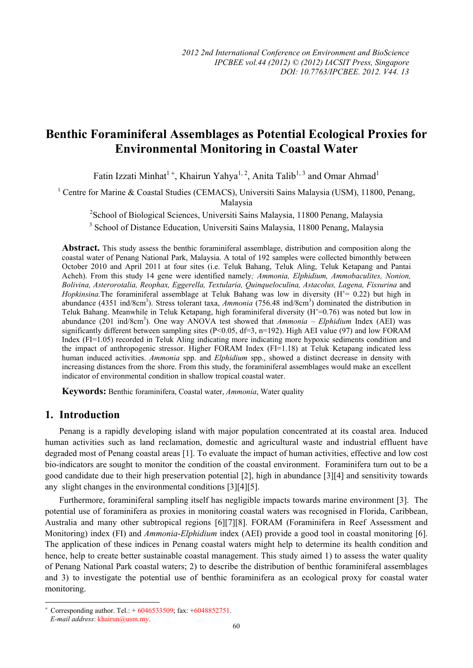# **Benthic Foraminiferal Assemblages as Potential Ecological Proxies for Environmental Monitoring in Coastal Water**

Fatin Izzati Minhat<sup>1+</sup>, Khairun Yahya<sup>1, 2</sup>, Anita Talib<sup>1, 3</sup> and Omar Ahmad<sup>1</sup>

<sup>1</sup> Centre for Marine & Coastal Studies (CEMACS), Universiti Sains Malaysia (USM), 11800, Penang,

Malaysia

<sup>2</sup>School of Biological Sciences, Universiti Sains Malaysia, 11800 Penang, Malaysia

<sup>3</sup> School of Distance Education, Universiti Sains Malaysia, 11800 Penang, Malaysia

**Abstract.** This study assess the benthic foraminiferal assemblage, distribution and composition along the coastal water of Penang National Park, Malaysia. A total of 192 samples were collected bimonthly between October 2010 and April 2011 at four sites (i.e. Teluk Bahang, Teluk Aling, Teluk Ketapang and Pantai Acheh). From this study 14 gene were identified namely*; Ammonia, Elphidium, Ammobaculites, Nonion, Bolivina, Asterorotalia, Reophax, Eggerella, Textularia, Quinqueloculina, Astacolus, Lagena, Fissurina* and *Hopkinsina.*The foraminiferal assemblage at Teluk Bahang was low in diversity (H'= 0.22) but high in abundance (4351 ind/8cm<sup>3</sup>). Stress tolerant taxa, *Ammonia* (756.48 ind/8cm<sup>3</sup>) dominated the distribution in Teluk Bahang. Meanwhile in Teluk Ketapang, high foraminiferal diversity (H'=0.76) was noted but low in abundance (201 ind/8cm<sup>3</sup>). One way ANOVA test showed that *Ammonia – Elphidium* Index (AEI) was significantly different between sampling sites ( $P<0.05$ ,  $df=3$ ,  $n=192$ ). High AEI value (97) and low FORAM Index (FI=1.05) recorded in Teluk Aling indicating more indicating more hypoxic sediments condition and the impact of anthropogenic stressor. Higher FORAM Index (FI=1.18) at Teluk Ketapang indicated less human induced activities. *Ammonia* spp. and *Elphidium* spp., showed a distinct decrease in density with increasing distances from the shore. From this study, the foraminiferal assemblages would make an excellent indicator of environmental condition in shallow tropical coastal water.

**Keywords:** Benthic foraminifera, Coastal water, *Ammonia*, Water quality

# **1. Introduction**

Penang is a rapidly developing island with major population concentrated at its coastal area. Induced human activities such as land reclamation, domestic and agricultural waste and industrial effluent have degraded most of Penang coastal areas [1]. To evaluate the impact of human activities, effective and low cost bio-indicators are sought to monitor the condition of the coastal environment. Foraminifera turn out to be a good candidate due to their high preservation potential [2], high in abundance [3][4] and sensitivity towards any slight changes in the environmental conditions [3][4][5].

Furthermore, foraminiferal sampling itself has negligible impacts towards marine environment [3]. The potential use of foraminifera as proxies in monitoring coastal waters was recognised in Florida, Caribbean, Australia and many other subtropical regions [6][7][8]. FORAM (Foraminifera in Reef Assessment and Monitoring) index (FI) and *Ammonia*-*Elphidium* index (AEI) provide a good tool in coastal monitoring [6]. The application of these indices in Penang coastal waters might help to determine its health condition and hence, help to create better sustainable coastal management. This study aimed 1) to assess the water quality of Penang National Park coastal waters; 2) to describe the distribution of benthic foraminiferal assemblages and 3) to investigate the potential use of benthic foraminifera as an ecological proxy for coastal water monitoring.

 $\overline{a}$ 

Corresponding author. Tel.:  $+ 6046533509$ ; fax:  $+ 6048852751$ .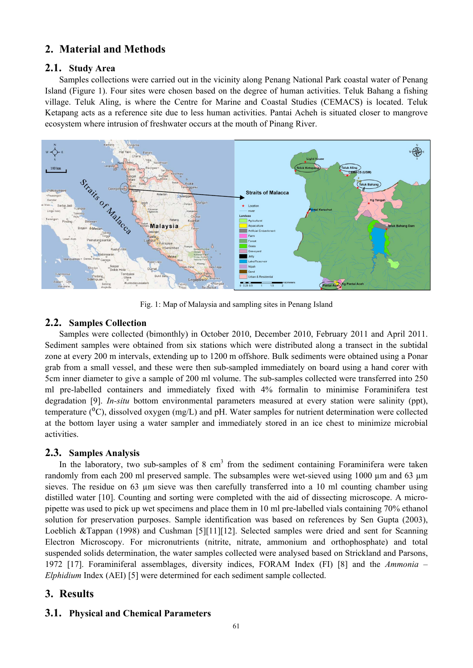# **2. Material and Methods**

### **2.1. Study Area**

Samples collections were carried out in the vicinity along Penang National Park coastal water of Penang Island (Figure 1). Four sites were chosen based on the degree of human activities. Teluk Bahang a fishing village. Teluk Aling, is where the Centre for Marine and Coastal Studies (CEMACS) is located. Teluk Ketapang acts as a reference site due to less human activities. Pantai Acheh is situated closer to mangrove ecosystem where intrusion of freshwater occurs at the mouth of Pinang River.



Fig. 1: Map of Malaysia and sampling sites in Penang Island

### **2.2. Samples Collection**

Samples were collected (bimonthly) in October 2010, December 2010, February 2011 and April 2011. Sediment samples were obtained from six stations which were distributed along a transect in the subtidal zone at every 200 m intervals, extending up to 1200 m offshore. Bulk sediments were obtained using a Ponar grab from a small vessel, and these were then sub-sampled immediately on board using a hand corer with 5cm inner diameter to give a sample of 200 ml volume. The sub-samples collected were transferred into 250 ml pre-labelled containers and immediately fixed with 4% formalin to minimise Foraminifera test degradation [9]. *In-situ* bottom environmental parameters measured at every station were salinity (ppt), temperature  $({}^{0}C)$ , dissolved oxygen (mg/L) and pH. Water samples for nutrient determination were collected at the bottom layer using a water sampler and immediately stored in an ice chest to minimize microbial activities.

### **2.3. Samples Analysis**

In the laboratory, two sub-samples of  $8 \text{ cm}^3$  from the sediment containing Foraminifera were taken randomly from each 200 ml preserved sample. The subsamples were wet-sieved using 1000 µm and 63 µm sieves. The residue on 63 um sieve was then carefully transferred into a 10 ml counting chamber using distilled water [10]. Counting and sorting were completed with the aid of dissecting microscope. A micropipette was used to pick up wet specimens and place them in 10 ml pre-labelled vials containing 70% ethanol solution for preservation purposes. Sample identification was based on references by Sen Gupta (2003), Loeblich &Tappan (1998) and Cushman [5][11][12]. Selected samples were dried and sent for Scanning Electron Microscopy. For micronutrients (nitrite, nitrate, ammonium and orthophosphate) and total suspended solids determination, the water samples collected were analysed based on Strickland and Parsons, 1972 [17]. Foraminiferal assemblages, diversity indices, FORAM Index (FI) [8] and the *Ammonia* – *Elphidium* Index (AEI) [5] were determined for each sediment sample collected.

# **3. Results**

#### **3.1. Physical and Chemical Parameters**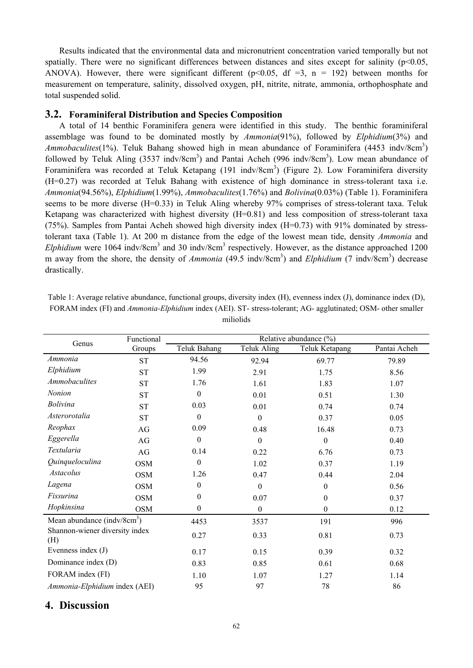Results indicated that the environmental data and micronutrient concentration varied temporally but not spatially. There were no significant differences between distances and sites except for salinity ( $p<0.05$ , ANOVA). However, there were significant different ( $p<0.05$ , df =3, n = 192) between months for measurement on temperature, salinity, dissolved oxygen, pH, nitrite, nitrate, ammonia, orthophosphate and total suspended solid.

#### **3.2. Foraminiferal Distribution and Species Composition**

A total of 14 benthic Foraminifera genera were identified in this study. The benthic foraminiferal assemblage was found to be dominated mostly by *Ammonia*(91%), followed by *Elphidium*(3%) and Ammobaculites(1%). Teluk Bahang showed high in mean abundance of Foraminifera (4453 indv/8cm<sup>3</sup>) followed by Teluk Aling  $(3537 \text{ indu/8cm}^3)$  and Pantai Acheh  $(996 \text{ indu/8cm}^3)$ . Low mean abundance of Foraminifera was recorded at Teluk Ketapang (191 indv/8cm<sup>3</sup>) (Figure 2). Low Foraminifera diversity (H=0.27) was recorded at Teluk Bahang with existence of high dominance in stress-tolerant taxa i.e. *Ammonia*(94.56%), *Elphidium*(1.99%), *Ammobaculites*(1.76%) and *Bolivina*(0.03%) (Table 1). Foraminifera seems to be more diverse (H=0.33) in Teluk Aling whereby 97% comprises of stress-tolerant taxa. Teluk Ketapang was characterized with highest diversity (H=0.81) and less composition of stress-tolerant taxa (75%). Samples from Pantai Acheh showed high diversity index (H=0.73) with 91% dominated by stresstolerant taxa (Table 1). At 200 m distance from the edge of the lowest mean tide, density *Ammonia* and  $Elphidium$  were 1064 indv/8cm<sup>3</sup> and 30 indv/8cm<sup>3</sup> respectively. However, as the distance approached 1200 m away from the shore, the density of *Ammonia* (49.5 indv/8cm<sup>3</sup>) and *Elphidium* (7 indv/8cm<sup>3</sup>) decrease drastically.

| Genus                                   | Functional | Relative abundance $(\% )$ |             |                  |              |
|-----------------------------------------|------------|----------------------------|-------------|------------------|--------------|
|                                         | Groups     | Teluk Bahang               | Teluk Aling | Teluk Ketapang   | Pantai Acheh |
| Ammonia                                 | <b>ST</b>  | 94.56                      | 92.94       | 69.77            | 79.89        |
| Elphidium                               | <b>ST</b>  | 1.99                       | 2.91        | 1.75             | 8.56         |
| <i>Ammobaculites</i>                    | <b>ST</b>  | 1.76                       | 1.61        | 1.83             | 1.07         |
| <b>Nonion</b>                           | <b>ST</b>  | $\theta$                   | 0.01        | 0.51             | 1.30         |
| <b>Bolivina</b>                         | <b>ST</b>  | 0.03                       | 0.01        | 0.74             | 0.74         |
| Asterorotalia                           | <b>ST</b>  | $\theta$                   | $\Omega$    | 0.37             | 0.05         |
| Reophax                                 | AG         | 0.09                       | 0.48        | 16.48            | 0.73         |
| Eggerella                               | AG         | $\theta$                   | $\theta$    | $\boldsymbol{0}$ | 0.40         |
| Textularia                              | AG         | 0.14                       | 0.22        | 6.76             | 0.73         |
| Quinqueloculina                         | <b>OSM</b> | $\boldsymbol{0}$           | 1.02        | 0.37             | 1.19         |
| <i>Astacolus</i>                        | <b>OSM</b> | 1.26                       | 0.47        | 0.44             | 2.04         |
| Lagena                                  | <b>OSM</b> | $\mathbf{0}$               | $\theta$    | $\boldsymbol{0}$ | 0.56         |
| Fissurina                               | <b>OSM</b> | $\boldsymbol{0}$           | 0.07        | $\boldsymbol{0}$ | 0.37         |
| Hopkinsina                              | <b>OSM</b> | $\boldsymbol{0}$           | $\theta$    | $\theta$         | 0.12         |
| Mean abundance (indv/8cm <sup>3</sup> ) |            | 4453                       | 3537        | 191              | 996          |
| Shannon-wiener diversity index<br>(H)   |            | 0.27                       | 0.33        | 0.81             | 0.73         |
| Evenness index (J)                      |            | 0.17                       | 0.15        | 0.39             | 0.32         |
| Dominance index (D)                     |            | 0.83                       | 0.85        | 0.61             | 0.68         |
| FORAM index (FI)                        |            | 1.10                       | 1.07        | 1.27             | 1.14         |
| Ammonia-Elphidium index (AEI)           |            | 95                         | 97          | 78               | 86           |

Table 1: Average relative abundance, functional groups, diversity index (H), evenness index (J), dominance index (D), FORAM index (FI) and *Ammonia-Elphidium* index (AEI). ST- stress-tolerant; AG- agglutinated; OSM- other smaller miliolids

# **4. Discussion**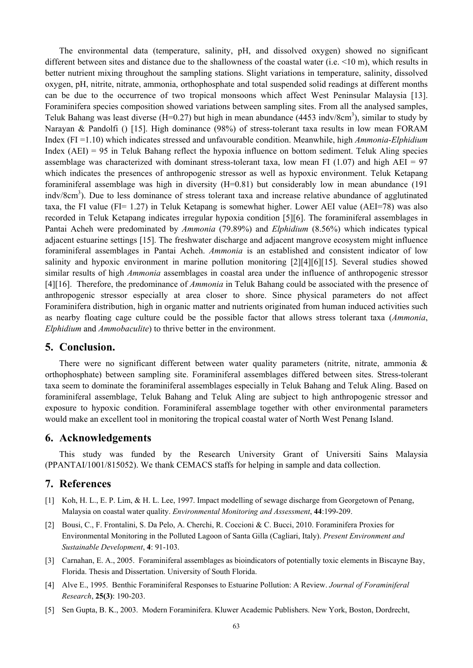The environmental data (temperature, salinity, pH, and dissolved oxygen) showed no significant different between sites and distance due to the shallowness of the coastal water (i.e. <10 m), which results in better nutrient mixing throughout the sampling stations. Slight variations in temperature, salinity, dissolved oxygen, pH, nitrite, nitrate, ammonia, orthophosphate and total suspended solid readings at different months can be due to the occurrence of two tropical monsoons which affect West Peninsular Malaysia [13]. Foraminifera species composition showed variations between sampling sites. From all the analysed samples, Teluk Bahang was least diverse (H=0.27) but high in mean abundance (4453 indv/8cm<sup>3</sup>), similar to study by Narayan & Pandolfi () [15]. High dominance (98%) of stress-tolerant taxa results in low mean FORAM Index (FI =1.10) which indicates stressed and unfavourable condition. Meanwhile, high *Ammonia*-*Elphidium* Index (AEI) = 95 in Teluk Bahang reflect the hypoxia influence on bottom sediment. Teluk Aling species assemblage was characterized with dominant stress-tolerant taxa, low mean FI (1.07) and high AEI =  $97$ which indicates the presences of anthropogenic stressor as well as hypoxic environment. Teluk Ketapang foraminiferal assemblage was high in diversity (H=0.81) but considerably low in mean abundance (191 indv/8cm<sup>3</sup>). Due to less dominance of stress tolerant taxa and increase relative abundance of agglutinated taxa, the FI value (FI= 1.27) in Teluk Ketapang is somewhat higher. Lower AEI value (AEI=78) was also recorded in Teluk Ketapang indicates irregular hypoxia condition [5][6]. The foraminiferal assemblages in Pantai Acheh were predominated by *Ammonia* (79.89%) and *Elphidium* (8.56%) which indicates typical adjacent estuarine settings [15]. The freshwater discharge and adjacent mangrove ecosystem might influence foraminiferal assemblages in Pantai Acheh. *Ammonia* is an established and consistent indicator of low salinity and hypoxic environment in marine pollution monitoring [2][4][6][15]. Several studies showed similar results of high *Ammonia* assemblages in coastal area under the influence of anthropogenic stressor [4][16]. Therefore, the predominance of *Ammonia* in Teluk Bahang could be associated with the presence of anthropogenic stressor especially at area closer to shore. Since physical parameters do not affect Foraminifera distribution, high in organic matter and nutrients originated from human induced activities such as nearby floating cage culture could be the possible factor that allows stress tolerant taxa (*Ammonia*, *Elphidium* and *Ammobaculite*) to thrive better in the environment.

# **5. Conclusion.**

There were no significant different between water quality parameters (nitrite, nitrate, ammonia & orthophosphate) between sampling site. Foraminiferal assemblages differed between sites. Stress-tolerant taxa seem to dominate the foraminiferal assemblages especially in Teluk Bahang and Teluk Aling. Based on foraminiferal assemblage, Teluk Bahang and Teluk Aling are subject to high anthropogenic stressor and exposure to hypoxic condition. Foraminiferal assemblage together with other environmental parameters would make an excellent tool in monitoring the tropical coastal water of North West Penang Island.

# **6. Acknowledgements**

This study was funded by the Research University Grant of Universiti Sains Malaysia (PPANTAI/1001/815052). We thank CEMACS staffs for helping in sample and data collection.

#### **7. References**

- [1] Koh, H. L., E. P. Lim, & H. L. Lee, 1997. Impact modelling of sewage discharge from Georgetown of Penang, Malaysia on coastal water quality. *Environmental Monitoring and Assessment*, **44**:199-209.
- [2] Bousi, C., F. Frontalini, S. Da Pelo, A. Cherchi, R. Coccioni & C. Bucci, 2010. Foraminifera Proxies for Environmental Monitoring in the Polluted Lagoon of Santa Gilla (Cagliari, Italy). *Present Environment and Sustainable Development*, **4**: 91-103.
- [3] Carnahan, E. A., 2005. Foraminiferal assemblages as bioindicators of potentially toxic elements in Biscayne Bay, Florida. Thesis and Dissertation. University of South Florida.
- [4] Alve E., 1995. Benthic Foraminiferal Responses to Estuarine Pollution: A Review. *Journal of Foraminiferal Research*, **25(3)**: 190-203.
- [5] Sen Gupta, B. K., 2003. Modern Foraminifera. Kluwer Academic Publishers. New York, Boston, Dordrecht,